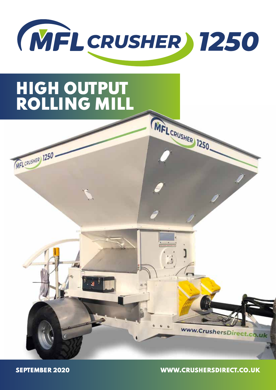

MFL CRUSHER 1250

# HIGH OUTPUT ROLLING MILL





SEPTEMBER 2020 WWW.CRUSHERSDIRECT.CO.UK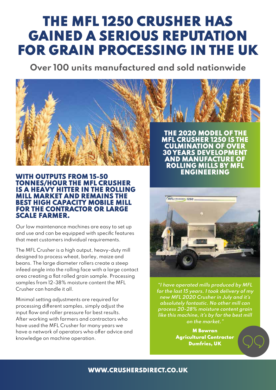# THE MFL 1250 CRUSHER HAS GAINED A SERIOUS REPUTATION FOR GRAIN PROCESSING IN THE UK

**Over 100 units manufactured and sold nationwide**



#### WITH OUTPUTS FROM 15-50 TONNES/HOUR THE MFL CRUSHER IS A HEAVY HITTER IN THE ROLLING MILL MARKET AND REMAINS THE BEST HIGH CAPACITY MOBILE MILL FOR THE CONTRACTOR OR LARGE SCALE FARMER.

Our low maintenance machines are easy to set up and use and can be equipped with specifc features that meet customers individual requirements.

The MFL Crusher is a high output, heavy-duty mill designed to process wheat, barley, maize and beans. The large diameter rollers create a steep infeed angle into the rolling face with a large contact area creating a flat rolled grain sample. Processing samples from 12-38% moisture content the MFL Crusher can handle it all.

Minimal setting adjustments are required for processing diferent samples, simply adjust the input flow and roller pressure for best results. After working with farmers and contractors who have used the MFL Crusher for many years we have a network of operators who offer advice and knowledge on machine operation.

AND MANUFACTURE OF ROLLING MILLS BY MFL ENGINEERING



**"I have operated mills produced by MFL for the last 15 years. I took delivery of my new MFL 2020 Crusher in July and it's absolutely fantastic. No other mill can process 20-28% moisture content grain like this machine, it's by far the best mill on the market."**

> M Bowran Agricultural Contractor Dumfries, UK

#### WWW.CRUSHERSDIRECT.CO.UK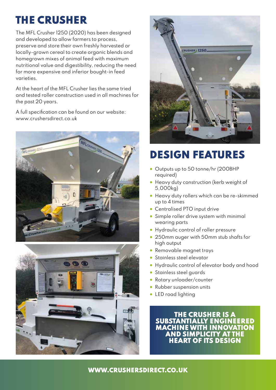## THE CRUSHER

The MFL Crusher 1250 (2020) has been designed and developed to allow farmers to process, preserve and store their own freshly harvested or locally-grown cereal to create organic blends and homegrown mixes of animal feed with maximum nutritional value and digestibility, reducing the need for more expensive and inferior bought-in feed varieties.

At the heart of the MFL Crusher lies the same tried and tested roller construction used in all machines for the past 20 years.

A full specifcation can be found on our website: www.crushersdirect.co.uk







### DESIGN FEATURES

- Outputs up to 50 tonne/hr (200BHP required)
- Heavy duty construction (kerb weight of 5,000kg)
- Heavy duty rollers which can be re-skimmed up to 4 times
- Centralised PTO input drive
- Simple roller drive system with minimal wearing parts
- Hydraulic control of roller pressure
- 250mm auger with 50mm stub shafts for high output
- Removable magnet trays
- Stainless steel elevator
- Hydraulic control of elevator body and hood
- Stainless steel guards
- Rotary unloader/counter
- Rubber suspension units
- LED road lighting

THE CRUSHER IS A SUBSTANTIALLY ENGINEERED MACHINE WITH INNOVATION AND SIMPLICITY AT THE HEART OF ITS DESIGN

#### WWW.CRUSHERSDIRECT.CO.UK